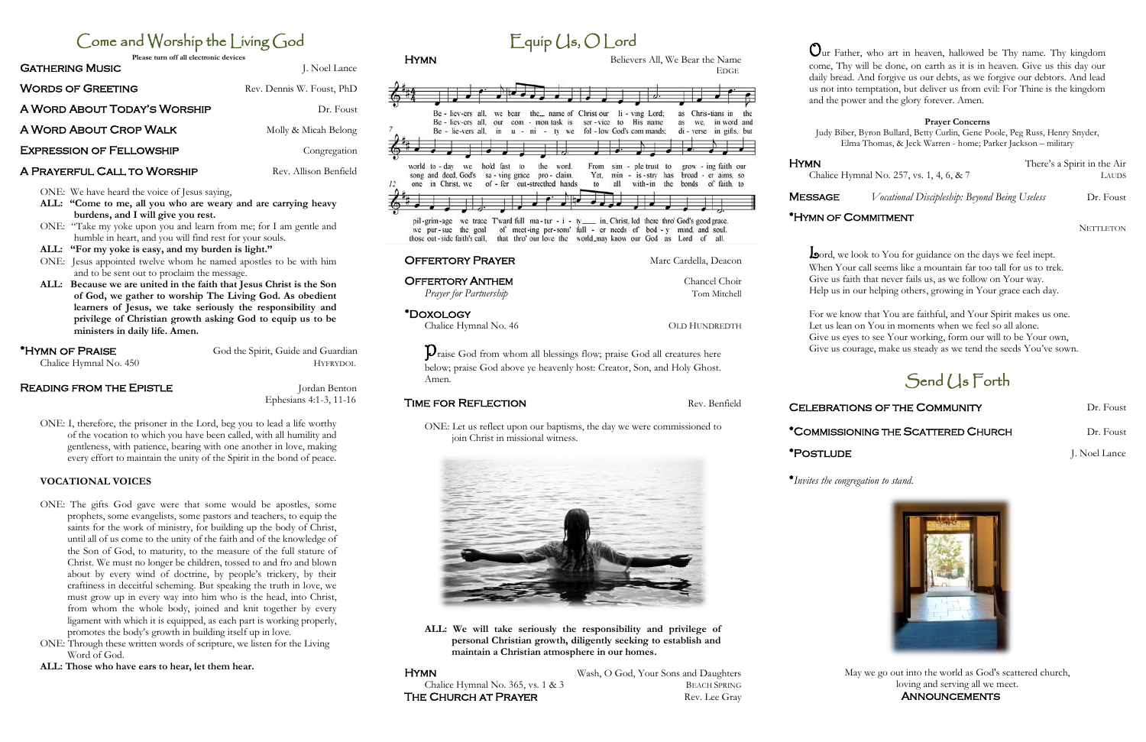# Come and Worship the Living God

**Please turn off all electronic devices**

| <b>GATHERING MUSIC</b>          | J. Noel Lance             |
|---------------------------------|---------------------------|
| <b>WORDS OF GREETING</b>        | Rev. Dennis W. Foust, PhD |
| A WORD ABOUT TODAY'S WORSHIP    | Dr. Foust                 |
| A WORD ABOUT CROP WALK          | Molly & Micah Belong      |
| <b>EXPRESSION OF FELLOWSHIP</b> | Congregation              |
|                                 |                           |

## A PRAYERFUL CALL TO WORSHIP Rev. Allison Benfield

ONE: We have heard the voice of Jesus saying,

- **ALL: "Come to me, all you who are weary and are carrying heavy burdens, and I will give you rest.**
- ONE: "Take my yoke upon you and learn from me; for I am gentle and humble in heart, and you will find rest for your souls.
- **ALL: "For my yoke is easy, and my burden is light."**
- ONE: Jesus appointed twelve whom he named apostles to be with him and to be sent out to proclaim the message.
- **ALL: Because we are united in the faith that Jesus Christ is the Son of God, we gather to worship The Living God. As obedient learners of Jesus, we take seriously the responsibility and privilege of Christian growth asking God to equip us to be ministers in daily life. Amen.**

# \*HYMN OF PRAISE God the Spirit, Guide and Guardian

Chalice Hymnal No. 450 HYFRYDOL

## **READING FROM THE EPISTLE CONGLEXIBLE ACCORDING FROM THE EPISTLE**

Ephesians 4:1-3, 11-16

ONE: I, therefore, the prisoner in the Lord, beg you to lead a life worthy of the vocation to which you have been called, with all humility and gentleness, with patience, bearing with one another in love, making every effort to maintain the unity of the Spirit in the bond of peace.

## **VOCATIONAL VOICES**

Hymn Wash, O God, Your Sons and Daughters Chalice Hymnal No. 365, vs. 1 & 3 BEACH SPRING

- ONE: The gifts God gave were that some would be apostles, some prophets, some evangelists, some pastors and teachers, to equip the saints for the work of ministry, for building up the body of Christ, until all of us come to the unity of the faith and of the knowledge of the Son of God, to maturity, to the measure of the full stature of Christ. We must no longer be children, tossed to and fro and blown about by every wind of doctrine, by people's trickery, by their craftiness in deceitful scheming. But speaking the truth in love, we must grow up in every way into him who is the head, into Christ, from whom the whole body, joined and knit together by every ligament with which it is equipped, as each part is working properly, promotes the body's growth in building itself up in love.
- ONE: Through these written words of scripture, we listen for the Living Word of God.
- **ALL: Those who have ears to hear, let them hear.**

**Lo**ord, we look to You for guidance on the days we feel inept. When Your call seems like a mountain far too tall for us to trek. Give us faith that never fails us, as we follow on Your way. Help us in our helping others, growing in Your grace each day.

May we go out into the world as God's scattered church, loving and serving all we meet. **ANNOUNCEMENTS** 

| <b>HYMN</b>                                                                                                                                                       | Believers All, We Bear the Name<br><b>EDGE</b>                                                                                                           |
|-------------------------------------------------------------------------------------------------------------------------------------------------------------------|----------------------------------------------------------------------------------------------------------------------------------------------------------|
|                                                                                                                                                                   |                                                                                                                                                          |
| Be - liev-ers all, we bear the _ name of Christ our<br>Be - liev-ers all, our com - mon task is<br>Be - lie-vers all, in $u - ni - tv$ we fol-low God's commands; | li - ving Lord;<br>Chris-tians in<br>as<br>the<br>ser-vice to His name<br>we, in word and<br>as<br>di - verse in gifts, but                              |
| world to - day we<br>hold fast<br>to<br>the<br>word.<br>song and deed. God's<br>sa - ving grace pro - claim.<br>one in Christ, we<br>of - fer out-strecthed hands | From sim - ple trust to<br>grow - ing faith our<br>Yet.<br>min - is - stry has<br>broad - er aims, so<br>all<br>with-in the<br>bonds of faith, to<br>to. |
| pil-grim-age we trace Tward full ma-tur - i - ty  in Christ, led there thro' God's good grace.<br>we pur-sue the goal<br>those out-side faith's call.             | of meet-ing per-sons' full - er needs of bod - y mind, and soul.<br>that thro' our love the world_may know our God as Lord of all.                       |
| <b>OFFERTORY PRAYER</b>                                                                                                                                           | Marc Cardella, Deacon                                                                                                                                    |
| <b>OFFERTORY ANTHEM</b>                                                                                                                                           | Chancel Choir                                                                                                                                            |
| Prayer for Partnership                                                                                                                                            | Tom Mitchell                                                                                                                                             |
| *DOXOLOGY                                                                                                                                                         |                                                                                                                                                          |
| Chalice Hymnal No. 46                                                                                                                                             | <b>OLD HUNDREDTH</b>                                                                                                                                     |
| Amen.                                                                                                                                                             | Vraise God from whom all blessings flow; praise God all creatures here<br>below; praise God above ye heavenly host: Creator, Son, and Holy Ghost.        |
| <b>TIME FOR REFLECTION</b>                                                                                                                                        | Rev. Benfield                                                                                                                                            |
| join Christ in missional witness.                                                                                                                                 | ONE: Let us reflect upon our baptisms, the day we were commissioned to                                                                                   |
|                                                                                                                                                                   |                                                                                                                                                          |

 $Equip (Is, O)$  ord

**ALL: We will take seriously the responsibility and privilege of personal Christian growth, diligently seeking to establish and maintain a Christian atmosphere in our homes.** 

THE CHURCH AT PRAYER Rev. Lee Gray

Our Father, who art in heaven, hallowed be Thy name. Thy kingdom come, Thy will be done, on earth as it is in heaven. Give us this day our daily bread. And forgive us our debts, as we forgive our debtors. And lead us not into temptation, but deliver us from evil: For Thine is the kingdom and the power and the glory forever. Amen.

#### **Prayer Concerns**

Judy Biber, Byron Bullard, Betty Curlin, Gene Poole, Peg Russ, Henry Snyder, Elma Thomas, & Jeck Warren - home; Parker Jackson – military

Hymn There's a Spirit in the Air

Chalice Hymnal No. 257, vs. 1, 4, 6, & 7 LAUDS

**MESSAGE** *Vocational Discipleship: Beyond Being Useless* Dr. Foust

### \*HYMN OF COMMITMENT

**NETTLETON** 

For we know that You are faithful, and Your Spirit makes us one. Let us lean on You in moments when we feel so all alone. Give us eyes to see Your working, form our will to be Your own, Give us courage, make us steady as we tend the seeds You've sown.

# Send (1s Forth

### CELEBRATIONS OF THE COMMUNITY DERIVATION Dr. Foust

## \*COMMISSIONING THE SCATTERED CHURCH Dr. Foust

\*PostludeJ. Noel Lance

\**Invites the congregation to stand.*